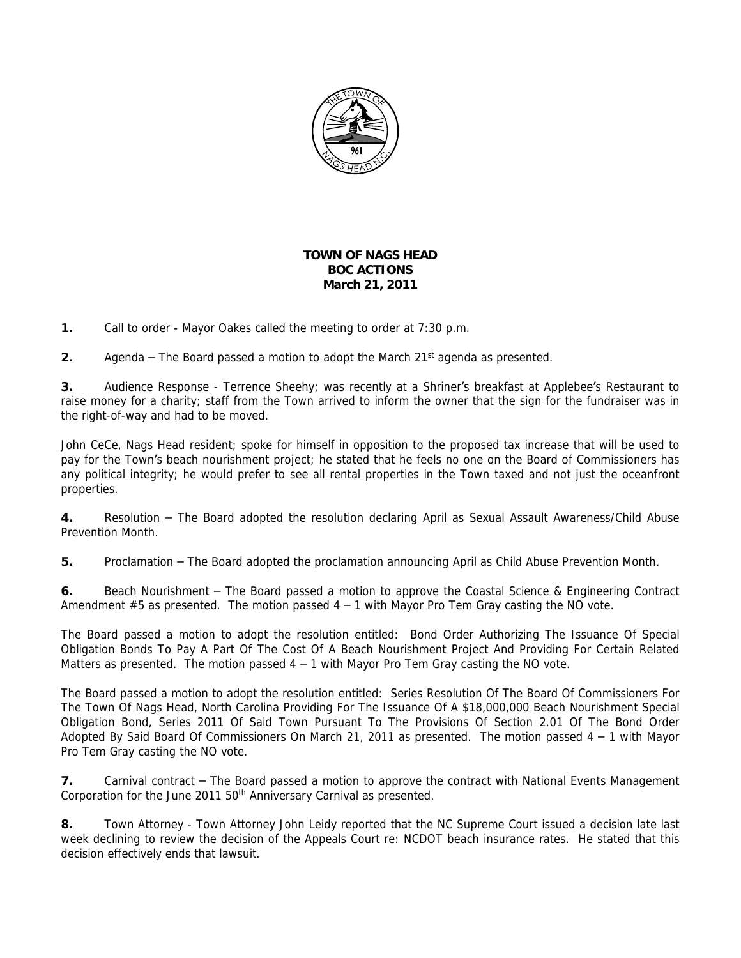

## **TOWN OF NAGS HEAD BOC ACTIONS March 21, 2011**

**1.** Call to order - Mayor Oakes called the meeting to order at 7:30 p.m.

**2.** Agenda – The Board passed a motion to adopt the March 21st agenda as presented.

**3.** Audience Response - Terrence Sheehy; was recently at a Shriner's breakfast at Applebee's Restaurant to raise money for a charity; staff from the Town arrived to inform the owner that the sign for the fundraiser was in the right-of-way and had to be moved.

John CeCe, Nags Head resident; spoke for himself in opposition to the proposed tax increase that will be used to pay for the Town's beach nourishment project; he stated that he feels no one on the Board of Commissioners has any political integrity; he would prefer to see all rental properties in the Town taxed and not just the oceanfront properties.

**4.** Resolution – The Board adopted the resolution declaring April as Sexual Assault Awareness/Child Abuse Prevention Month.

**5.** Proclamation – The Board adopted the proclamation announcing April as Child Abuse Prevention Month.

**6.** Beach Nourishment – The Board passed a motion to approve the Coastal Science & Engineering Contract Amendment  $#5$  as presented. The motion passed  $4 - 1$  with Mayor Pro Tem Gray casting the NO vote.

The Board passed a motion to adopt the resolution entitled: *Bond Order Authorizing The Issuance Of Special* Obligation Bonds To Pay A Part Of The Cost Of A Beach Nourishment Project And Providing For Certain Related *Matters* as presented. The motion passed 4 – 1 with Mayor Pro Tem Gray casting the NO vote.

The Board passed a motion to adopt the resolution entitled: *Series Resolution Of The Board Of Commissioners For* The Town Of Nags Head, North Carolina Providing For The Issuance Of A \$18,000,000 Beach Nourishment Special Obligation Bond, Series 2011 Of Said Town Pursuant To The Provisions Of Section 2.01 Of The Bond Order *Adopted By Said Board Of Commissioners On March 21, 2011* as presented. The motion passed 4 – 1 with Mayor Pro Tem Gray casting the NO vote.

**7.** Carnival contract – The Board passed a motion to approve the contract with National Events Management Corporation for the June 2011 50<sup>th</sup> Anniversary Carnival as presented.

**8.** Town Attorney - Town Attorney John Leidy reported that the NC Supreme Court issued a decision late last week declining to review the decision of the Appeals Court re: NCDOT beach insurance rates. He stated that this decision effectively ends that lawsuit.